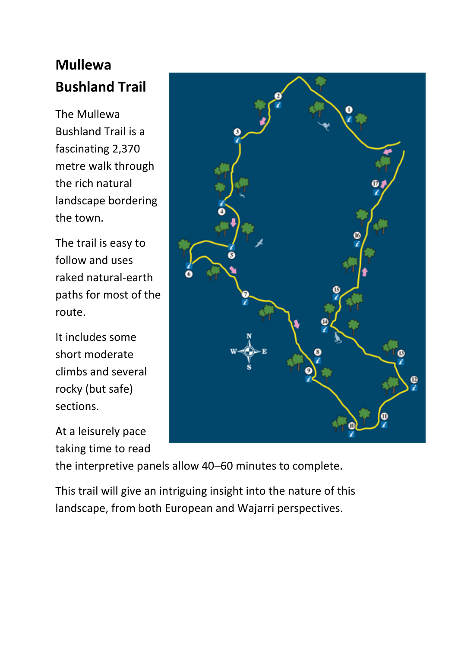# **Mullewa Bushland Trail**

The Mullewa Bushland Trail is a fascinating 2,370 metre walk through the rich natural landscape bordering the town.

The trail is easy to follow and uses raked natural-earth paths for most of the route.

It includes some short moderate climbs and several rocky (but safe) sections.

At a leisurely pace taking time to read



the interpretive panels allow 40–60 minutes to complete.

This trail will give an intriguing insight into the nature of this landscape, from both European and Wajarri perspectives.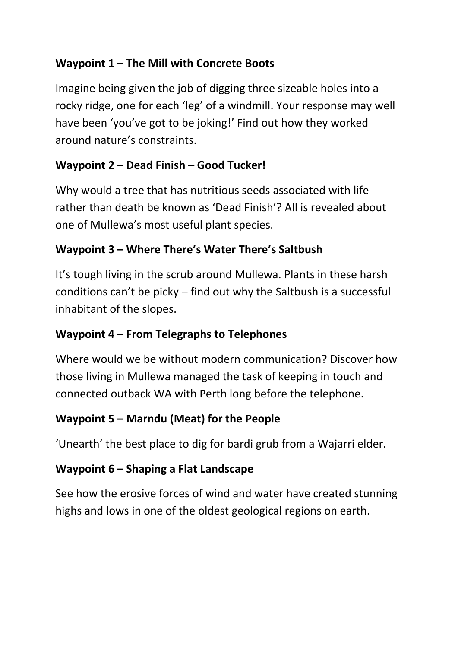### **Waypoint 1 – The Mill with Concrete Boots**

Imagine being given the job of digging three sizeable holes into a rocky ridge, one for each 'leg' of a windmill. Your response may well have been 'you've got to be joking!' Find out how they worked around nature's constraints.

#### **Waypoint 2 – Dead Finish – Good Tucker!**

Why would a tree that has nutritious seeds associated with life rather than death be known as 'Dead Finish'? All is revealed about one of Mullewa's most useful plant species.

### **Waypoint 3 – Where There's Water There's Saltbush**

It's tough living in the scrub around Mullewa. Plants in these harsh conditions can't be picky – find out why the Saltbush is a successful inhabitant of the slopes.

## **Waypoint 4 – From Telegraphs to Telephones**

Where would we be without modern communication? Discover how those living in Mullewa managed the task of keeping in touch and connected outback WA with Perth long before the telephone.

## **Waypoint 5 – Marndu (Meat) for the People**

'Unearth' the best place to dig for bardi grub from a Wajarri elder.

## **Waypoint 6 – Shaping a Flat Landscape**

See how the erosive forces of wind and water have created stunning highs and lows in one of the oldest geological regions on earth.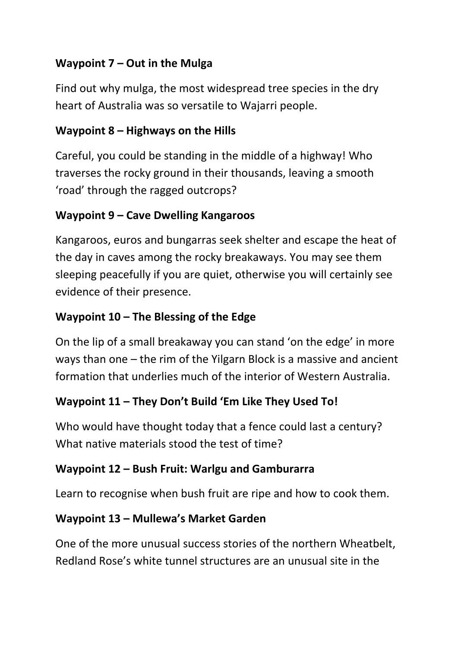### **Waypoint 7 – Out in the Mulga**

Find out why mulga, the most widespread tree species in the dry heart of Australia was so versatile to Wajarri people.

#### **Waypoint 8 – Highways on the Hills**

Careful, you could be standing in the middle of a highway! Who traverses the rocky ground in their thousands, leaving a smooth 'road' through the ragged outcrops?

#### **Waypoint 9 – Cave Dwelling Kangaroos**

Kangaroos, euros and bungarras seek shelter and escape the heat of the day in caves among the rocky breakaways. You may see them sleeping peacefully if you are quiet, otherwise you will certainly see evidence of their presence.

### **Waypoint 10 – The Blessing of the Edge**

On the lip of a small breakaway you can stand 'on the edge' in more ways than one – the rim of the Yilgarn Block is a massive and ancient formation that underlies much of the interior of Western Australia.

## **Waypoint 11 – They Don't Build 'Em Like They Used To!**

Who would have thought today that a fence could last a century? What native materials stood the test of time?

#### **Waypoint 12 – Bush Fruit: Warlgu and Gamburarra**

Learn to recognise when bush fruit are ripe and how to cook them.

#### **Waypoint 13 – Mullewa's Market Garden**

One of the more unusual success stories of the northern Wheatbelt, Redland Rose's white tunnel structures are an unusual site in the